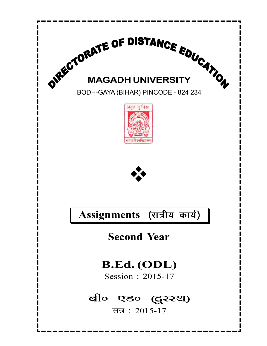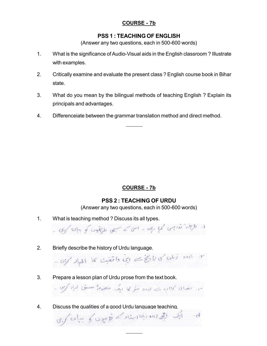#### PSS 1 : TEACHING OF ENGLISH

(Answer any two questions, each in 500-600 words)

- 1. What is the significance of Audio-Visual aids in the English classroom ? Illustrate with examples.
- 2. Critically examine and evaluate the present class ? English course book in Bihar state.
- 3. What do you mean by the bilingual methods of teaching English ? Explain its principals and advantages.
- 4. Differenceiate between the grammar translation method and direct method.

# COURSE - 7b

### PSS 2 : TEACHING OF URDU

(Answer any two questions, each in 500-600 words)

1. What is teaching method ? Discuss its all types.

 $-0.99$  (  $-0.999$  ) and  $-0.999$  and  $-0.999$  and  $-0.999$  and  $-0.999$ 

- 2. Briefly describe the history of Urdu language. r - ابود زمان کا را ریخ سے اپنی داشت کا اطہار کریں ۔
- 3. Prepare a lesson plan of Urdu prose from the text book. سیں تھائی کتاب ہے اورو نیٹر کیا ایک منصوبہ سبقی نیاز کریں
- 4. Discuss the qualities of a good Urdu language teaching.  $\sigma_{\rm s}/\omega$ ایک ایکی اسوریت استاد کے توسیدی کی بیان

 $\frac{1}{2}$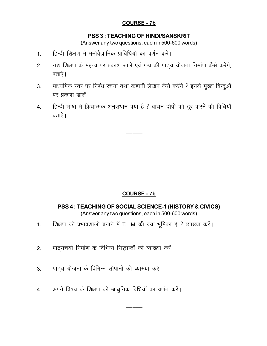#### PSS 3 : TEACHING OF HINDI/SANSKRIT

(Answer any two questions, each in 500-600 words)

- 1. हिन्दी शिक्षण में मनोवैज्ञानिक प्राविधियों का वर्णन करें।
- 2. गद्य शिक्षण के महत्त्व पर प्रकाश डालें एवं गद्य की पाठ्य योजना निर्माण कैसे करेंगे, बताएँ।
- 3. माध्यमिक स्तर पर निबंध रचना तथा कहानी लेखन कैसे करेंगे ? इनके मुख्य बिन्दुओं पर प्रकाश ज्ञालें।
- 4. हिन्दी भाषा में क्रियात्मक अनुसंधान क्या है ? वाचन दोषों को दूर करने की विधियाँ बताऐं। $\overline{a}$

 $\frac{1}{2}$ 

### COURSE - 7b

PSS 4 : TEACHING OF SOCIAL SCIENCE-1 (HISTORY & CIVICS) (Answer any two questions, each in 500-600 words)

- 1. शिक्षण को प्रभावशाली बनाने में T.L.M. की क्या भूमिका है ? व्याख्या करें।
- 2. पाठ्यचर्या निर्माण के विभिन्न सिद्धान्तों की व्याख्या करें।
- 3. पाठ्य योजना के विभिन्न सोपानों की व्याख्या करें।
- 4. अपने विषय के शिक्षण की आधुनिक विधियों का वर्णन करें।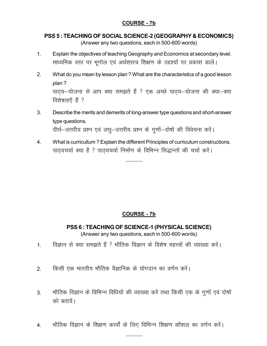## PSS 5 : TEACHING OF SOCIAL SCIENCE-2 (GEOGRAPHY & ECONOMICS)

(Answer any two questions, each in 500-600 words)

- 1. Explain the objectives of teaching Geography and Economics at secondary level. माध्यमिक स्तर पर भूगोल एवं अर्थशास्त्र शिक्षण के उद्दश्यों पर प्रकाश डालें।
- 2. What do you mean by lesson plan ? What are the characteristics of a good lesson plan ? पाठ्य-योजना से आप क्या समझते हैं ? एक अच्छे पाठ्य-योजना की क्या-क्या विशेषताएँ हैं ?
- 3. Describe the merits and demerits of long-answer type questions and short-answer type questions. दीर्घ-उत्तरीय प्रश्न एवं लघु-उत्तरीय प्रश्न के गुणों-दोषों की विवेचना करें।
- 4. What is curricullum ? Explain the different Principles of curriculum constructions. पाठयचर्या क्या है ? पाठयचर्या निर्माण के विभिन्न सिद्धान्तों की चर्चा करें।

 $\frac{1}{2}$ 

# COURSE - 7b

PSS 6 : TEACHING OF SCIENCE-1 (PHYSICAL SCIENCE) (Answer any two questions, each in 500-600 words)

- 1. विज्ञान से क्या समझते हैं ? भौतिक विज्ञान के विशेष महत्त्वों की व्याख्या करें।
- 2. विश्मी एक भारतीय भौतिक वैज्ञानिक के योगदान का वर्णन करें।
- 3. भौतिक विज्ञान के विभिन्न विधियों की व्याख्या करें तथा किसी एक के गुणों एवं दोषों को बतायें।
- $4.$   $\bullet$  भौतिक विज्ञान के शिक्षण कार्यों के लिए विभिन्न शिक्षण कौशल का वर्णन करें।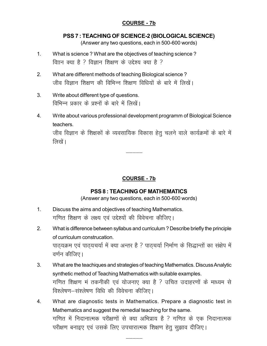#### PSS 7 : TEACHING OF SCIENCE-2 (BIOLOGICAL SCIENCE)

(Answer any two questions, each in 500-600 words)

- 1. What is science ? What are the objectives of teaching science ? विग़न क्या है ? विज्ञान शिक्षण के उद्देश्य क्या है ?
- 2. What are different methods of teaching Biological science ? जीव विज्ञान शिक्षण की विभिन्न शिक्षण विधियों के बारे में लिखें।
- 3. Write about different type of questions. विभिन्न प्रकार के प्रश्नों के बारे में लिखें।
- 4. Write about various professional development programm of Biological Science teachers.

जीव विज्ञान के शिक्षकों के व्यवसायिक विकास हेतू चलने वाले कार्यक्रमों के बारे में लिखें ।

# COURSE - 7b

### PSS 8 : TEACHING OF MATHEMATICS

(Answer any two questions, each in 500-600 words)

- 1. Discuss the aims and objectives of teaching Mathematics. गणित शिक्षण के लक्ष्य एवं उद्देश्यों की विवेचना कीजिए।
- 2. What is difference between syllabus and curriculum ? Describe briefly the principle of curriculum construcation. पाठ्यक्रम एवं पाठ्यचर्या में क्या अन्तर है ? पाठ्चर्या निर्माण के सिद्धान्तों का संक्षेप में वर्णन कीजिए।
- 3. What are the teachiques and strategies of teaching Mathematics. Discuss Analytic synthetic method of Teaching Mathematics with suitable examples. गणित शिक्षण मं तकनीकी एवं योजनाए क्या है ? उचित उदाहरणों के माध्यम से विश्लेषण-संश्लेषण विधि की विवेचना कीजिए।
- 4. What are diagnostic tests in Mathematics. Prepare a diagnostic test in Mathematics and suggest the remedial teaching for the same. गणित में निदानात्मक परीक्षणों से क्या अभिप्राय है ? गणित के एक निदानात्मक परीक्षण बनाइए एवं उसके लिए उपचारात्मक शिक्षण हेतु सुझाव दीजिए।

 $\frac{1}{2}$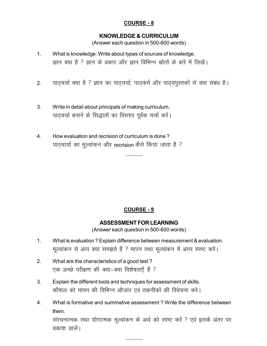## COURSE - 8

#### KNOWLEDGE & CURRICULUM

(Answer each question in 500-600 words)

- 1. What is knowledge. Write about types of sources of knowledge. ज्ञान क्या है ? ज्ञान के प्रकार और ज्ञान विभिन्न स्रोतों के बारे में लिखें।
- 2. पाठ्चर्या क्या है ? ज्ञान का पाठ्चर्या, पाठ्कर्म और पाठ्यपुस्तकों से क्या संबंध है।

 $\frac{1}{2}$ 

- 3. Write in detail about principals of making curriculum. पाठ्चर्या बनाने के सिद्धातों का विस्तार पूर्वक चर्चा करें।
- 4. How evaluation and recrision of curriculum is done ? पाठचार्या का मुल्यांकन और recrision कैसे किया जाता है ?

### COURSE - 9

#### ASSESSMENT FOR LEARNING

(Answer each question in 500-600 words)

- 1. What is evaluation ? Explain difference between measurement & evaluation. मूल्यांकन से आप क्या समझते हैं ? मापन तथा मूल्यांकन में अंतर स्पष्ट करें।
- 2. What are the characteristics of a good test ? एक अच्छे परीक्षण की क्या-क्या विशेषताएँ हैं ?
- 3. Explain the different tools and techniques for assessment of skills. कौशल को मापन की विभिन्न औजार एवं तकनीकों की विवेचना करें।
- 4. What is formative and summative assessment ? Write the difference between them. संरचनात्मक तथा योगात्मक मूल्यांकन के अर्थ को स्पष्ट करें ? एवं इसके अंतर पर प्रकाश डालें।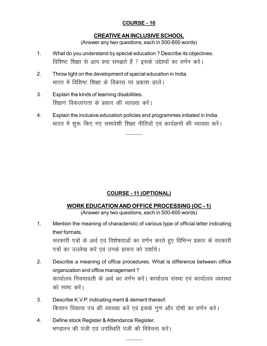## COURSE - 10

#### CREATIVE AN INCLUSIVE SCHOOL

(Answer any two questions, each in 500-600 words)

- 1. What do you understand by special education ? Describe its objectives. विशिष्ट शिक्षा से आप क्या समझते हैं ? इसके उद्देश्यों का वर्णन करें।
- 2. Throw light on the development of special education in India. भारत में विशिष्ट शिक्षा के विकास पर प्रकाश डालें।
- 3. Explain the kinds of learning disabilities. शिक्षण विकलांगता के प्रकार की व्याख्या करें।
- 4. Explain the inclusive education policies and programmes initiated in India. भारत में शुरू किए गए समावेशी शिक्षा नीतियों एवं कार्यक्रमों की व्याख्या करें।

# COURSE - 11 (OPTIONAL)

#### WORK EDUCATION AND OFFICE PROCESSING (OC - 1)

(Answer any two questions, each in 500-600 words)

1. Mention the meaning of characterstic of various type of official letter indicating their formats.

सरकारी पत्रों के अर्थ एवं विशेषताओं का वर्णन करते हुए विभिन्न प्रकार के सरकारी पत्रों का उल्लेख करें एवं उनके प्रारूप को दर्शाये।

- 2. Describe a meaning of office procedures. What is difference between office organization and office management ? कार्यालय नियमावली के अर्थ का वर्णन करें। कार्यालय संस्था एवं कार्यालय व्यवस्था को स्पष्ट करें।
- 3. Describe K.V.P. indicating merit & demerit thereof. किसान विकास पत्र की व्याख्या करें एवं इसके गुण और दोषों का वर्णन करे।
- 4. Define stock Register & Attendance Register. भण्डारन की पंजी एवं उपस्थिति पंजी की विवेचना करें।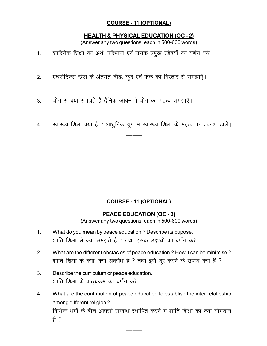### COURSE - 11 (OPTIONAL)

#### HEALTH & PHYSICAL EDUCATION (OC - 2)

(Answer any two questions, each in 500-600 words)

- 1. शारिरीक शिक्षा का अर्थ, परिभाषा एवं उसके प्रमुख उद्देश्यों का वर्णन करें।
- 2. एथलेटिक्स खेल के अंतर्गत दौड़, कूद एवं फेंक को विस्तार से समझाएँ।
- 3. योग से क्या समझते हैं दैनिक जीवन में योग का महत्व समझाएँ।
- 4. स्वास्थ्य शिक्षा क्या है ? आधुनिक युग में स्वास्थ्य शिक्षा के महत्व पर प्रकाश डालें।

# COURSE - 11 (OPTIONAL)

# PEACE EDUCATION (OC - 3)

(Answer any two questions, each in 500-600 words)

- 1. What do you mean by peace education ? Describe its pupose. शांति शिक्षा से क्या समझते हैं ? तथा इसके उद्देश्यों का वर्णन करें।
- 2. What are the different obstacles of peace education ? How it can be minimise ? शांति शिक्षा के क्या-क्या अवरोध है ? तथा इसे दूर करने के उपाय क्या हैं ?
- 3. Describe the curriculum or peace education. शांति शिक्षा के पाठ्यक्रम का वर्णन करें।
- 4. What are the contribution of peace education to establish the inter relatioship among different religion ? विभिन्न धर्मों के बीच आपसी सम्बन्ध स्थापित करने में शांति शिक्षा का क्या योगदान हे ?

 $\frac{1}{2}$